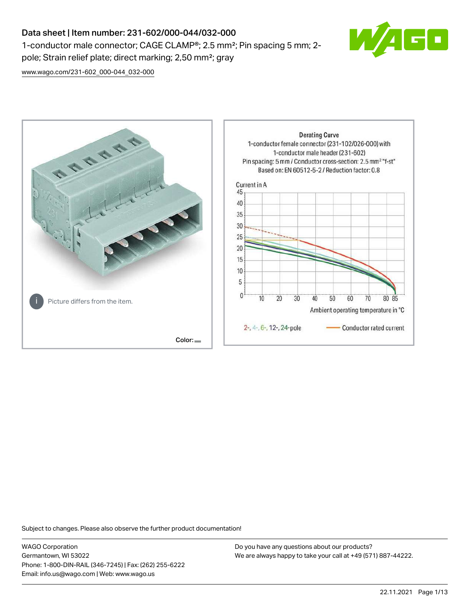# Data sheet | Item number: 231-602/000-044/032-000 1-conductor male connector; CAGE CLAMP®; 2.5 mm²; Pin spacing 5 mm; 2 pole; Strain relief plate; direct marking; 2,50 mm²; gray



[www.wago.com/231-602\\_000-044\\_032-000](http://www.wago.com/231-602_000-044_032-000)



Subject to changes. Please also observe the further product documentation!

WAGO Corporation Germantown, WI 53022 Phone: 1-800-DIN-RAIL (346-7245) | Fax: (262) 255-6222 Email: info.us@wago.com | Web: www.wago.us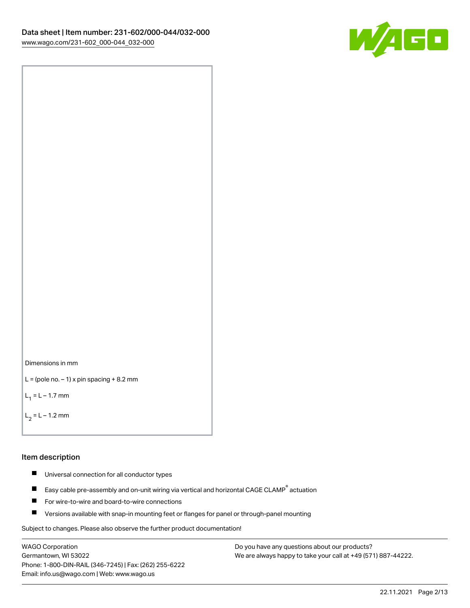



```
L = (pole no. -1) x pin spacing +8.2 mm
```
 $L_1 = L - 1.7$  mm

```
L_2 = L - 1.2 mm
```
### Item description

- $\blacksquare$ Universal connection for all conductor types
- Easy cable pre-assembly and on-unit wiring via vertical and horizontal CAGE CLAMP<sup>®</sup> actuation  $\blacksquare$
- $\blacksquare$ For wire-to-wire and board-to-wire connections
- $\blacksquare$ Versions available with snap-in mounting feet or flanges for panel or through-panel mounting

Subject to changes. Please also observe the further product documentation!

WAGO Corporation Germantown, WI 53022 Phone: 1-800-DIN-RAIL (346-7245) | Fax: (262) 255-6222 Email: info.us@wago.com | Web: www.wago.us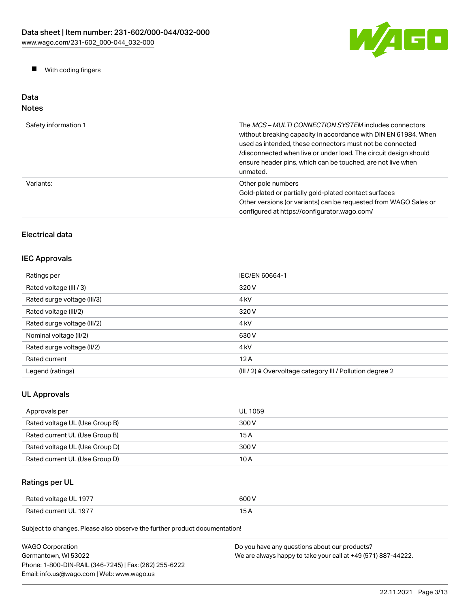

 $\blacksquare$ With coding fingers

### Data Notes

| Safety information 1 | The MCS-MULTI CONNECTION SYSTEM includes connectors<br>without breaking capacity in accordance with DIN EN 61984. When<br>used as intended, these connectors must not be connected<br>/disconnected when live or under load. The circuit design should<br>ensure header pins, which can be touched, are not live when<br>unmated. |
|----------------------|-----------------------------------------------------------------------------------------------------------------------------------------------------------------------------------------------------------------------------------------------------------------------------------------------------------------------------------|
| Variants:            | Other pole numbers<br>Gold-plated or partially gold-plated contact surfaces<br>Other versions (or variants) can be requested from WAGO Sales or<br>configured at https://configurator.wago.com/                                                                                                                                   |

# Electrical data

# IEC Approvals

| Ratings per                 | IEC/EN 60664-1                                            |
|-----------------------------|-----------------------------------------------------------|
| Rated voltage (III / 3)     | 320 V                                                     |
| Rated surge voltage (III/3) | 4 <sub>k</sub> V                                          |
| Rated voltage (III/2)       | 320 V                                                     |
| Rated surge voltage (III/2) | 4 <sub>kV</sub>                                           |
| Nominal voltage (II/2)      | 630 V                                                     |
| Rated surge voltage (II/2)  | 4 <sub>k</sub> V                                          |
| Rated current               | 12A                                                       |
| Legend (ratings)            | (III / 2) ≙ Overvoltage category III / Pollution degree 2 |

# UL Approvals

| Approvals per                  | UL 1059 |
|--------------------------------|---------|
| Rated voltage UL (Use Group B) | 300 V   |
| Rated current UL (Use Group B) | 15 A    |
| Rated voltage UL (Use Group D) | 300 V   |
| Rated current UL (Use Group D) | 10 A    |

# Ratings per UL

| Rated voltage UL 1977 | 600 V |
|-----------------------|-------|
| Rated current UL 1977 | 15 A  |

Subject to changes. Please also observe the further product documentation!

| WAGO Corporation                                       | Do you have any questions about our products?                 |
|--------------------------------------------------------|---------------------------------------------------------------|
| Germantown. WI 53022                                   | We are always happy to take your call at +49 (571) 887-44222. |
| Phone: 1-800-DIN-RAIL (346-7245)   Fax: (262) 255-6222 |                                                               |
| Email: info.us@wago.com   Web: www.wago.us             |                                                               |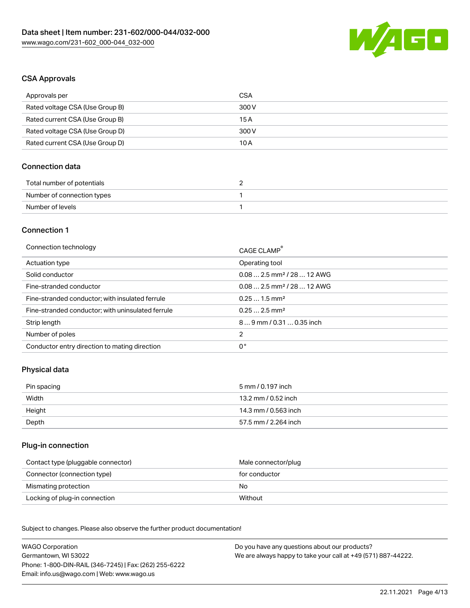

# CSA Approvals

| Approvals per                   | CSA   |
|---------------------------------|-------|
| Rated voltage CSA (Use Group B) | 300 V |
| Rated current CSA (Use Group B) | 15 A  |
| Rated voltage CSA (Use Group D) | 300 V |
| Rated current CSA (Use Group D) | 10 A  |

## Connection data

| Total number of potentials |  |
|----------------------------|--|
| Number of connection types |  |
| Number of levels           |  |

# Connection 1

| Connection technology                             | CAGE CLAMP <sup>®</sup>                 |
|---------------------------------------------------|-----------------------------------------|
| Actuation type                                    | Operating tool                          |
| Solid conductor                                   | $0.082.5$ mm <sup>2</sup> / 28  12 AWG  |
| Fine-stranded conductor                           | $0.08$ 2.5 mm <sup>2</sup> / 28  12 AWG |
| Fine-stranded conductor; with insulated ferrule   | $0.251.5$ mm <sup>2</sup>               |
| Fine-stranded conductor; with uninsulated ferrule | $0.252.5$ mm <sup>2</sup>               |
| Strip length                                      | 89 mm / 0.31  0.35 inch                 |
| Number of poles                                   | $\overline{2}$                          |
| Conductor entry direction to mating direction     | 0°                                      |
|                                                   |                                         |

# Physical data

| Pin spacing | 5 mm / 0.197 inch    |
|-------------|----------------------|
| Width       | 13.2 mm / 0.52 inch  |
| Height      | 14.3 mm / 0.563 inch |
| Depth       | 57.5 mm / 2.264 inch |

## Plug-in connection

| Contact type (pluggable connector) | Male connector/plug |
|------------------------------------|---------------------|
| Connector (connection type)        | for conductor       |
| Mismating protection               | No                  |
| Locking of plug-in connection      | Without             |

Subject to changes. Please also observe the further product documentation! Material data

| <b>WAGO Corporation</b>                                | Do you have any questions about our products?                 |
|--------------------------------------------------------|---------------------------------------------------------------|
| Germantown, WI 53022                                   | We are always happy to take your call at +49 (571) 887-44222. |
| Phone: 1-800-DIN-RAIL (346-7245)   Fax: (262) 255-6222 |                                                               |
| Email: info.us@wago.com   Web: www.wago.us             |                                                               |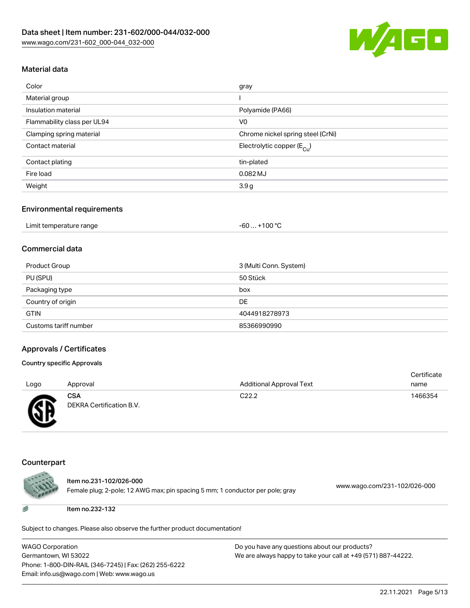

# Material data

| Color                       | gray                                   |
|-----------------------------|----------------------------------------|
| Material group              |                                        |
| Insulation material         | Polyamide (PA66)                       |
| Flammability class per UL94 | V <sub>0</sub>                         |
| Clamping spring material    | Chrome nickel spring steel (CrNi)      |
| Contact material            | Electrolytic copper (E <sub>Cu</sub> ) |
| Contact plating             | tin-plated                             |
| Fire load                   | 0.082 MJ                               |
| Weight                      | 3.9g                                   |

#### Environmental requirements

| Limit temperature range | . +100 °C<br>$-60$ |
|-------------------------|--------------------|
|-------------------------|--------------------|

## Commercial data

| Product Group         | 3 (Multi Conn. System) |
|-----------------------|------------------------|
| PU (SPU)              | 50 Stück               |
| Packaging type        | box                    |
| Country of origin     | DE                     |
| <b>GTIN</b>           | 4044918278973          |
| Customs tariff number | 85366990990            |

### Approvals / Certificates

## Country specific Approvals

|      |                          |                                 | Certificate |
|------|--------------------------|---------------------------------|-------------|
| Logo | Approval                 | <b>Additional Approval Text</b> | name        |
|      | <b>CSA</b>               | C <sub>22.2</sub>               | 1466354     |
| Æ    | DEKRA Certification B.V. |                                 |             |

#### Counterpart

w



Item no.231-102/026-000

Female plug; 2-pole; 12 AWG max; pin spacing 5 mm; 1 conductor per pole; gray [www.wago.com/231-102/026-000](https://www.wago.com/231-102/026-000)

Item no.232-132

Subject to changes. Please also observe the further product documentation!

WAGO Corporation Germantown, WI 53022 Phone: 1-800-DIN-RAIL (346-7245) | Fax: (262) 255-6222 Email: info.us@wago.com | Web: www.wago.us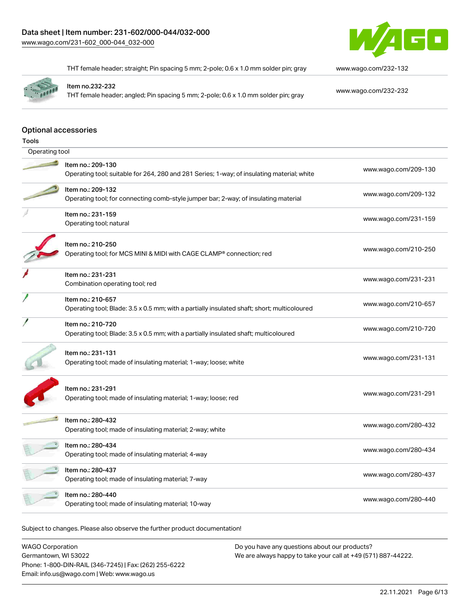

THT female header; straight; Pin spacing 5 mm; 2-pole; 0.6 x 1.0 mm solder pin; gray [www.wago.com/232-132](https://www.wago.com/232-132)

Item no.232-232

THT female header; angled; Pin spacing 5 mm; 2-pole; 0.6 x 1.0 mm solder pin; gray [www.wago.com/232-232](https://www.wago.com/232-232)

# Optional accessories

| <b>Tools</b>      |                                                                                             |                      |  |  |  |
|-------------------|---------------------------------------------------------------------------------------------|----------------------|--|--|--|
|                   | Operating tool                                                                              |                      |  |  |  |
|                   | Item no.: 209-130                                                                           |                      |  |  |  |
|                   | Operating tool; suitable for 264, 280 and 281 Series; 1-way; of insulating material; white  | www.wago.com/209-130 |  |  |  |
|                   | Item no.: 209-132                                                                           |                      |  |  |  |
|                   | Operating tool; for connecting comb-style jumper bar; 2-way; of insulating material         | www.wago.com/209-132 |  |  |  |
|                   | Item no.: 231-159                                                                           | www.wago.com/231-159 |  |  |  |
|                   | Operating tool; natural                                                                     |                      |  |  |  |
|                   | Item no.: 210-250                                                                           |                      |  |  |  |
|                   | Operating tool; for MCS MINI & MIDI with CAGE CLAMP <sup>®</sup> connection; red            | www.wago.com/210-250 |  |  |  |
|                   | Item no.: 231-231                                                                           |                      |  |  |  |
|                   | Combination operating tool; red                                                             | www.wago.com/231-231 |  |  |  |
|                   | Item no.: 210-657                                                                           | www.wago.com/210-657 |  |  |  |
|                   | Operating tool; Blade: 3.5 x 0.5 mm; with a partially insulated shaft; short; multicoloured |                      |  |  |  |
|                   | Item no.: 210-720                                                                           | www.wago.com/210-720 |  |  |  |
|                   | Operating tool; Blade: 3.5 x 0.5 mm; with a partially insulated shaft; multicoloured        |                      |  |  |  |
| Item no.: 231-131 |                                                                                             |                      |  |  |  |
|                   | Operating tool; made of insulating material; 1-way; loose; white                            | www.wago.com/231-131 |  |  |  |
|                   | Item no.: 231-291                                                                           |                      |  |  |  |
|                   | Operating tool; made of insulating material; 1-way; loose; red                              | www.wago.com/231-291 |  |  |  |
|                   |                                                                                             |                      |  |  |  |
|                   | Item no.: 280-432                                                                           | www.wago.com/280-432 |  |  |  |
|                   | Operating tool; made of insulating material; 2-way; white                                   |                      |  |  |  |
|                   | Item no.: 280-434                                                                           | www.wago.com/280-434 |  |  |  |
|                   | Operating tool; made of insulating material; 4-way                                          |                      |  |  |  |
|                   | Item no.: 280-437                                                                           | www.wago.com/280-437 |  |  |  |
|                   | Operating tool; made of insulating material; 7-way                                          |                      |  |  |  |
|                   | Item no.: 280-440                                                                           | www.wago.com/280-440 |  |  |  |
|                   | Operating tool; made of insulating material; 10-way                                         |                      |  |  |  |

Subject to changes. Please also observe the further product documentation!

WAGO Corporation Germantown, WI 53022 Phone: 1-800-DIN-RAIL (346-7245) | Fax: (262) 255-6222 Email: info.us@wago.com | Web: www.wago.us Do you have any questions about our products? We are always happy to take your call at +49 (571) 887-44222.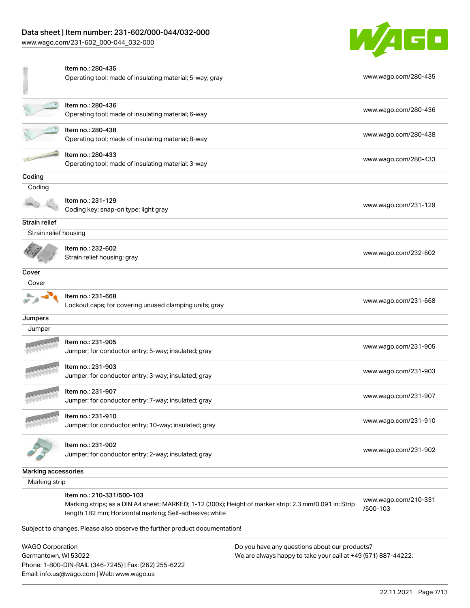# Data sheet | Item number: 231-602/000-044/032-000

[www.wago.com/231-602\\_000-044\\_032-000](http://www.wago.com/231-602_000-044_032-000)



|                       | Item no.: 280-435<br>Operating tool; made of insulating material; 5-way; gray                                                                                                                  | www.wago.com/280-435             |
|-----------------------|------------------------------------------------------------------------------------------------------------------------------------------------------------------------------------------------|----------------------------------|
|                       | Item no.: 280-436<br>Operating tool; made of insulating material; 6-way                                                                                                                        | www.wago.com/280-436             |
|                       | Item no.: 280-438<br>Operating tool; made of insulating material; 8-way                                                                                                                        | www.wago.com/280-438             |
|                       | Item no.: 280-433<br>Operating tool; made of insulating material; 3-way                                                                                                                        | www.wago.com/280-433             |
| Coding                |                                                                                                                                                                                                |                                  |
| Coding                |                                                                                                                                                                                                |                                  |
|                       | Item no.: 231-129<br>Coding key; snap-on type; light gray                                                                                                                                      | www.wago.com/231-129             |
| Strain relief         |                                                                                                                                                                                                |                                  |
| Strain relief housing |                                                                                                                                                                                                |                                  |
|                       | Item no.: 232-602<br>Strain relief housing; gray                                                                                                                                               | www.wago.com/232-602             |
| Cover                 |                                                                                                                                                                                                |                                  |
| Cover                 |                                                                                                                                                                                                |                                  |
|                       | Item no.: 231-668<br>Lockout caps; for covering unused clamping units; gray                                                                                                                    | www.wago.com/231-668             |
| Jumpers               |                                                                                                                                                                                                |                                  |
| Jumper                |                                                                                                                                                                                                |                                  |
|                       | ltem no.: 231-905<br>Jumper; for conductor entry; 5-way; insulated; gray                                                                                                                       | www.wago.com/231-905             |
|                       | Item no.: 231-903<br>Jumper; for conductor entry; 3-way; insulated; gray                                                                                                                       | www.wago.com/231-903             |
|                       | Item no.: 231-907<br>Jumper; for conductor entry; 7-way; insulated; gray                                                                                                                       | www.wago.com/231-907             |
|                       | Item no.: 231-910<br>Jumper; for conductor entry; 10-way; insulated; gray                                                                                                                      | www.wago.com/231-910             |
|                       | Item no.: 231-902<br>Jumper; for conductor entry; 2-way; insulated; gray                                                                                                                       | www.wago.com/231-902             |
| Marking accessories   |                                                                                                                                                                                                |                                  |
| Marking strip         |                                                                                                                                                                                                |                                  |
|                       | Item no.: 210-331/500-103<br>Marking strips; as a DIN A4 sheet; MARKED; 1-12 (300x); Height of marker strip: 2.3 mm/0.091 in; Strip<br>length 182 mm; Horizontal marking; Self-adhesive; white | www.wago.com/210-331<br>/500-103 |
|                       | Subject to changes. Please also observe the further product documentation!                                                                                                                     |                                  |

WAGO Corporation Germantown, WI 53022 Phone: 1-800-DIN-RAIL (346-7245) | Fax: (262) 255-6222 Email: info.us@wago.com | Web: www.wago.us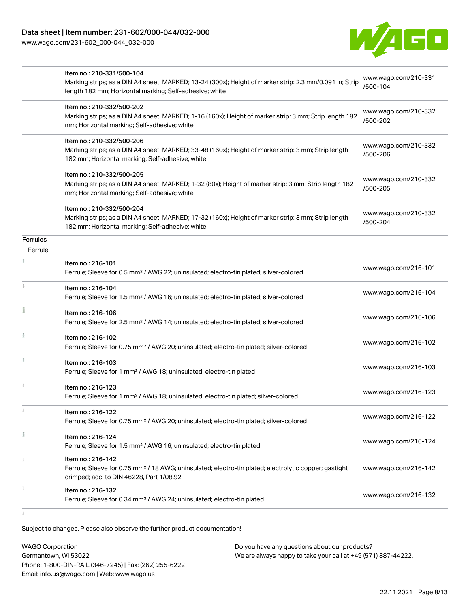[www.wago.com/231-602\\_000-044\\_032-000](http://www.wago.com/231-602_000-044_032-000)



|          | Item no.: 210-331/500-104<br>Marking strips; as a DIN A4 sheet; MARKED; 13-24 (300x); Height of marker strip: 2.3 mm/0.091 in; Strip<br>length 182 mm; Horizontal marking; Self-adhesive; white | www.wago.com/210-331<br>/500-104 |
|----------|-------------------------------------------------------------------------------------------------------------------------------------------------------------------------------------------------|----------------------------------|
|          | Item no.: 210-332/500-202<br>Marking strips; as a DIN A4 sheet; MARKED; 1-16 (160x); Height of marker strip: 3 mm; Strip length 182<br>mm; Horizontal marking; Self-adhesive; white             | www.wago.com/210-332<br>/500-202 |
|          | Item no.: 210-332/500-206<br>Marking strips; as a DIN A4 sheet; MARKED; 33-48 (160x); Height of marker strip: 3 mm; Strip length<br>182 mm; Horizontal marking; Self-adhesive; white            | www.wago.com/210-332<br>/500-206 |
|          | Item no.: 210-332/500-205<br>Marking strips; as a DIN A4 sheet; MARKED; 1-32 (80x); Height of marker strip: 3 mm; Strip length 182<br>mm; Horizontal marking; Self-adhesive; white              | www.wago.com/210-332<br>/500-205 |
|          | Item no.: 210-332/500-204<br>Marking strips; as a DIN A4 sheet; MARKED; 17-32 (160x); Height of marker strip: 3 mm; Strip length<br>182 mm; Horizontal marking; Self-adhesive; white            | www.wago.com/210-332<br>/500-204 |
| Ferrules |                                                                                                                                                                                                 |                                  |
| Ferrule  |                                                                                                                                                                                                 |                                  |
|          | Item no.: 216-101<br>Ferrule; Sleeve for 0.5 mm <sup>2</sup> / AWG 22; uninsulated; electro-tin plated; silver-colored                                                                          | www.wago.com/216-101             |
|          | Item no.: 216-104<br>Ferrule; Sleeve for 1.5 mm <sup>2</sup> / AWG 16; uninsulated; electro-tin plated; silver-colored                                                                          | www.wago.com/216-104             |
|          | Item no.: 216-106<br>Ferrule; Sleeve for 2.5 mm <sup>2</sup> / AWG 14; uninsulated; electro-tin plated; silver-colored                                                                          | www.wago.com/216-106             |
|          | Item no.: 216-102<br>Ferrule; Sleeve for 0.75 mm <sup>2</sup> / AWG 20; uninsulated; electro-tin plated; silver-colored                                                                         | www.wago.com/216-102             |
|          | Item no.: 216-103<br>Ferrule; Sleeve for 1 mm <sup>2</sup> / AWG 18; uninsulated; electro-tin plated                                                                                            | www.wago.com/216-103             |
|          | Item no.: 216-123<br>Ferrule; Sleeve for 1 mm <sup>2</sup> / AWG 18; uninsulated; electro-tin plated; silver-colored                                                                            | www.wago.com/216-123             |
|          | Item no.: 216-122<br>Ferrule; Sleeve for 0.75 mm <sup>2</sup> / AWG 20; uninsulated; electro-tin plated; silver-colored                                                                         | www.wago.com/216-122             |
|          | Item no.: 216-124<br>Ferrule; Sleeve for 1.5 mm <sup>2</sup> / AWG 16; uninsulated; electro-tin plated                                                                                          | www.wago.com/216-124             |
|          | Item no.: 216-142<br>Ferrule; Sleeve for 0.75 mm <sup>2</sup> / 18 AWG; uninsulated; electro-tin plated; electrolytic copper; gastight<br>crimped; acc. to DIN 46228, Part 1/08.92              | www.wago.com/216-142             |
|          | Item no.: 216-132<br>Ferrule; Sleeve for 0.34 mm <sup>2</sup> / AWG 24; uninsulated; electro-tin plated                                                                                         | www.wago.com/216-132             |
|          |                                                                                                                                                                                                 |                                  |

Subject to changes. Please also observe the further product documentation!

WAGO Corporation Germantown, WI 53022 Phone: 1-800-DIN-RAIL (346-7245) | Fax: (262) 255-6222 Email: info.us@wago.com | Web: www.wago.us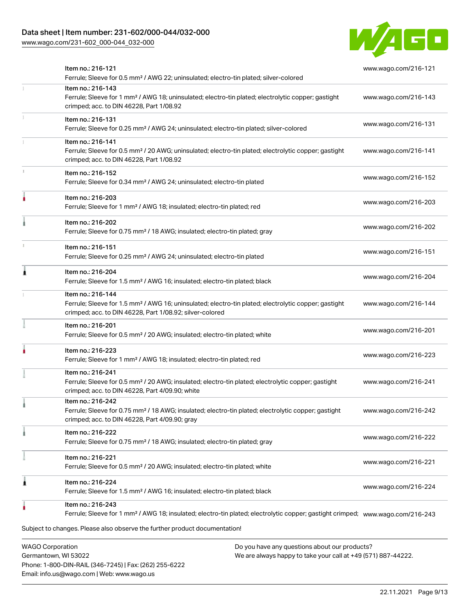# Data sheet | Item number: 231-602/000-044/032-000

[www.wago.com/231-602\\_000-044\\_032-000](http://www.wago.com/231-602_000-044_032-000)



| <b>WAGO Corporation</b><br>Do you have any questions about our products?                                                                                                                                                                      |                      |
|-----------------------------------------------------------------------------------------------------------------------------------------------------------------------------------------------------------------------------------------------|----------------------|
| Item no.: 216-243<br>Ferrule; Sleeve for 1 mm <sup>2</sup> / AWG 18; insulated; electro-tin plated; electrolytic copper; gastight crimped; www.wago.com/216-243<br>Subject to changes. Please also observe the further product documentation! |                      |
| Item no.: 216-224<br>Ferrule; Sleeve for 1.5 mm <sup>2</sup> / AWG 16; insulated; electro-tin plated; black                                                                                                                                   | www.wago.com/216-224 |
| Item no.: 216-221<br>Ferrule; Sleeve for 0.5 mm <sup>2</sup> / 20 AWG; insulated; electro-tin plated; white                                                                                                                                   | www.wago.com/216-221 |
| Item no.: 216-222<br>Ferrule; Sleeve for 0.75 mm <sup>2</sup> / 18 AWG; insulated; electro-tin plated; gray                                                                                                                                   | www.wago.com/216-222 |
| Item no.: 216-242<br>Ferrule; Sleeve for 0.75 mm <sup>2</sup> / 18 AWG; insulated; electro-tin plated; electrolytic copper; gastight<br>crimped; acc. to DIN 46228, Part 4/09.90; gray                                                        | www.wago.com/216-242 |
| Item no.: 216-241<br>Ferrule; Sleeve for 0.5 mm <sup>2</sup> / 20 AWG; insulated; electro-tin plated; electrolytic copper; gastight<br>crimped; acc. to DIN 46228, Part 4/09.90; white                                                        | www.wago.com/216-241 |
| Item no.: 216-223<br>Ferrule; Sleeve for 1 mm <sup>2</sup> / AWG 18; insulated; electro-tin plated; red                                                                                                                                       | www.wago.com/216-223 |
| Item no.: 216-201<br>Ferrule; Sleeve for 0.5 mm <sup>2</sup> / 20 AWG; insulated; electro-tin plated; white                                                                                                                                   | www.wago.com/216-201 |
| Item no.: 216-144<br>Ferrule; Sleeve for 1.5 mm <sup>2</sup> / AWG 16; uninsulated; electro-tin plated; electrolytic copper; gastight<br>crimped; acc. to DIN 46228, Part 1/08.92; silver-colored                                             | www.wago.com/216-144 |
| Item no.: 216-204<br>Ferrule; Sleeve for 1.5 mm <sup>2</sup> / AWG 16; insulated; electro-tin plated; black                                                                                                                                   | www.wago.com/216-204 |
| Item no.: 216-151<br>Ferrule; Sleeve for 0.25 mm <sup>2</sup> / AWG 24; uninsulated; electro-tin plated                                                                                                                                       | www.wago.com/216-151 |
| Item no.: 216-202<br>Ferrule; Sleeve for 0.75 mm <sup>2</sup> / 18 AWG; insulated; electro-tin plated; gray                                                                                                                                   | www.wago.com/216-202 |
| Item no.: 216-203<br>Ferrule; Sleeve for 1 mm <sup>2</sup> / AWG 18; insulated; electro-tin plated; red                                                                                                                                       | www.wago.com/216-203 |
| Item no.: 216-152<br>Ferrule; Sleeve for 0.34 mm <sup>2</sup> / AWG 24; uninsulated; electro-tin plated                                                                                                                                       | www.wago.com/216-152 |
| Item no.: 216-141<br>Ferrule; Sleeve for 0.5 mm <sup>2</sup> / 20 AWG; uninsulated; electro-tin plated; electrolytic copper; gastight<br>crimped; acc. to DIN 46228, Part 1/08.92                                                             | www.wago.com/216-141 |
| Item no.: 216-131<br>Ferrule; Sleeve for 0.25 mm <sup>2</sup> / AWG 24; uninsulated; electro-tin plated; silver-colored                                                                                                                       | www.wago.com/216-131 |
| Item no.: 216-143<br>Ferrule; Sleeve for 1 mm <sup>2</sup> / AWG 18; uninsulated; electro-tin plated; electrolytic copper; gastight<br>crimped; acc. to DIN 46228, Part 1/08.92                                                               | www.wago.com/216-143 |
| Item no.: 216-121<br>Ferrule; Sleeve for 0.5 mm <sup>2</sup> / AWG 22; uninsulated; electro-tin plated; silver-colored                                                                                                                        | www.wago.com/216-121 |

Germantown, WI 53022 Phone: 1-800-DIN-RAIL (346-7245) | Fax: (262) 255-6222 Email: info.us@wago.com | Web: www.wago.us

We are always happy to take your call at +49 (571) 887-44222.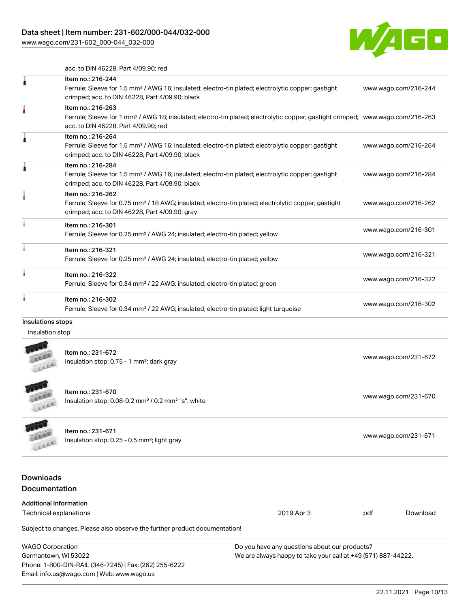# Data sheet | Item number: 231-602/000-044/032-000

[www.wago.com/231-602\\_000-044\\_032-000](http://www.wago.com/231-602_000-044_032-000)



acc. to DIN 46228, Part 4/09.90; red

| 1                                        | Item no.: 216-244<br>Ferrule; Sleeve for 1.5 mm <sup>2</sup> / AWG 16; insulated; electro-tin plated; electrolytic copper; gastight<br>crimped; acc. to DIN 46228, Part 4/09.90; black                  |                                               |     | www.wago.com/216-244 |
|------------------------------------------|---------------------------------------------------------------------------------------------------------------------------------------------------------------------------------------------------------|-----------------------------------------------|-----|----------------------|
|                                          | Item no.: 216-263<br>Ferrule; Sleeve for 1 mm <sup>2</sup> / AWG 18; insulated; electro-tin plated; electrolytic copper; gastight crimped; www.wago.com/216-263<br>acc. to DIN 46228, Part 4/09.90; red |                                               |     |                      |
| 1                                        | Item no.: 216-264<br>Ferrule; Sleeve for 1.5 mm <sup>2</sup> / AWG 16; insulated; electro-tin plated; electrolytic copper; gastight<br>crimped; acc. to DIN 46228, Part 4/09.90; black                  |                                               |     | www.wago.com/216-264 |
| 1                                        | Item no.: 216-284<br>Ferrule; Sleeve for 1.5 mm <sup>2</sup> / AWG 16; insulated; electro-tin plated; electrolytic copper; gastight<br>crimped; acc. to DIN 46228, Part 4/09.90; black                  |                                               |     | www.wago.com/216-284 |
|                                          | Item no.: 216-262<br>Ferrule; Sleeve for 0.75 mm <sup>2</sup> / 18 AWG; insulated; electro-tin plated; electrolytic copper; gastight<br>crimped; acc. to DIN 46228, Part 4/09.90; gray                  |                                               |     | www.wago.com/216-262 |
|                                          | Item no.: 216-301<br>Ferrule; Sleeve for 0.25 mm <sup>2</sup> / AWG 24; insulated; electro-tin plated; yellow                                                                                           |                                               |     | www.wago.com/216-301 |
|                                          | Item no.: 216-321<br>Ferrule; Sleeve for 0.25 mm <sup>2</sup> / AWG 24; insulated; electro-tin plated; yellow                                                                                           |                                               |     | www.wago.com/216-321 |
| ٠                                        | Item no.: 216-322<br>Ferrule; Sleeve for 0.34 mm <sup>2</sup> / 22 AWG; insulated; electro-tin plated; green                                                                                            |                                               |     | www.wago.com/216-322 |
|                                          | Item no.: 216-302<br>Ferrule; Sleeve for 0.34 mm <sup>2</sup> / 22 AWG; insulated; electro-tin plated; light turquoise                                                                                  |                                               |     | www.wago.com/216-302 |
| Insulations stops                        |                                                                                                                                                                                                         |                                               |     |                      |
| Insulation stop                          |                                                                                                                                                                                                         |                                               |     |                      |
|                                          | Item no.: 231-672<br>Insulation stop; 0.75 - 1 mm <sup>2</sup> ; dark gray                                                                                                                              |                                               |     | www.wago.com/231-672 |
|                                          | Item no.: 231-670<br>Insulation stop; 0.08-0.2 mm <sup>2</sup> / 0.2 mm <sup>2</sup> "s"; white                                                                                                         |                                               |     | www.wago.com/231-670 |
|                                          | Item no.: 231-671<br>Insulation stop; 0.25 - 0.5 mm <sup>2</sup> ; light gray                                                                                                                           |                                               |     | www.wago.com/231-671 |
| <b>Downloads</b><br><b>Documentation</b> |                                                                                                                                                                                                         |                                               |     |                      |
| <b>Additional Information</b>            |                                                                                                                                                                                                         |                                               |     |                      |
| <b>Technical explanations</b>            |                                                                                                                                                                                                         | 2019 Apr 3                                    | pdf | Download             |
|                                          | Subject to changes. Please also observe the further product documentation!                                                                                                                              |                                               |     |                      |
| <b>WAGO Corporation</b>                  |                                                                                                                                                                                                         | Do you have any questions about our products? |     |                      |

WAGO Corporation Germantown, WI 53022 Phone: 1-800-DIN-RAIL (346-7245) | Fax: (262) 255-6222 Email: info.us@wago.com | Web: www.wago.us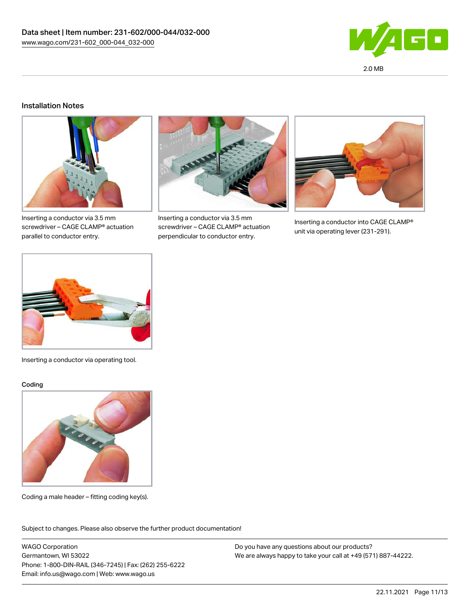

## Installation Notes



Inserting a conductor via 3.5 mm screwdriver – CAGE CLAMP® actuation parallel to conductor entry.



Inserting a conductor via 3.5 mm screwdriver – CAGE CLAMP® actuation perpendicular to conductor entry.



Inserting a conductor into CAGE CLAMP® unit via operating lever (231-291).



Inserting a conductor via operating tool.

#### Coding



Coding a male header – fitting coding key(s).

Subject to changes. Please also observe the further product documentation!

WAGO Corporation Germantown, WI 53022 Phone: 1-800-DIN-RAIL (346-7245) | Fax: (262) 255-6222 Email: info.us@wago.com | Web: www.wago.us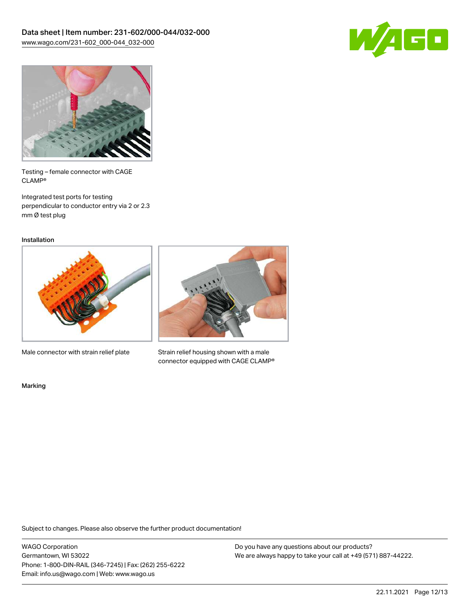



Testing – female connector with CAGE CLAMP®

Integrated test ports for testing perpendicular to conductor entry via 2 or 2.3 mm Ø test plug

Installation



Male connector with strain relief plate



Strain relief housing shown with a male connector equipped with CAGE CLAMP®

Marking

Subject to changes. Please also observe the further product documentation!

WAGO Corporation Germantown, WI 53022 Phone: 1-800-DIN-RAIL (346-7245) | Fax: (262) 255-6222 Email: info.us@wago.com | Web: www.wago.us